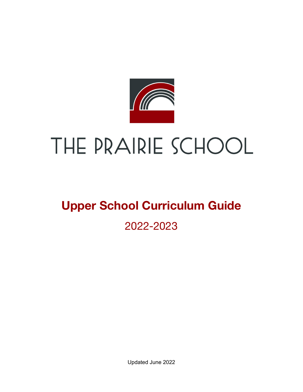

# THE PRAIRIE SCHOOL

## **Upper School Curriculum Guide** 2022-2023

Updated June 2022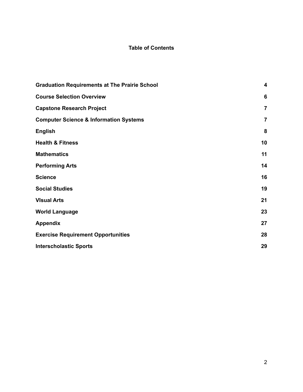#### **Table of Contents**

| <b>Graduation Requirements at The Prairie School</b> | $\overline{\mathbf{4}}$ |
|------------------------------------------------------|-------------------------|
| <b>Course Selection Overview</b>                     | 6                       |
| <b>Capstone Research Project</b>                     | $\overline{7}$          |
| <b>Computer Science &amp; Information Systems</b>    | 7                       |
| <b>English</b>                                       | 8                       |
| <b>Health &amp; Fitness</b>                          | 10                      |
| <b>Mathematics</b>                                   | 11                      |
| <b>Performing Arts</b>                               | 14                      |
| <b>Science</b>                                       | 16                      |
| <b>Social Studies</b>                                | 19                      |
| <b>Visual Arts</b>                                   | 21                      |
| <b>World Language</b>                                | 23                      |
| <b>Appendix</b>                                      | 27                      |
| <b>Exercise Requirement Opportunities</b>            | 28                      |
| <b>Interscholastic Sports</b>                        | 29                      |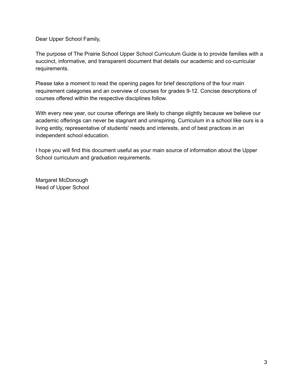Dear Upper School Family,

The purpose of The Prairie School Upper School Curriculum Guide is to provide families with a succinct, informative, and transparent document that details our academic and co-curricular requirements.

Please take a moment to read the opening pages for brief descriptions of the four main requirement categories and an overview of courses for grades 9-12. Concise descriptions of courses offered within the respective disciplines follow.

With every new year, our course offerings are likely to change slightly because we believe our academic offerings can never be stagnant and uninspiring. Curriculum in a school like ours is a living entity, representative of students' needs and interests, and of best practices in an independent school education.

I hope you will find this document useful as your main source of information about the Upper School curriculum and graduation requirements.

<span id="page-2-0"></span>Margaret McDonough Head of Upper School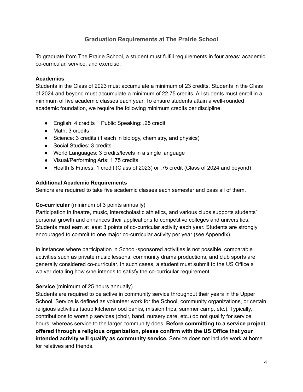#### **Graduation Requirements at The Prairie School**

To graduate from The Prairie School, a student must fulfill requirements in four areas: academic, co-curricular, service, and exercise.

#### **Academics**

Students in the Class of 2023 must accumulate a minimum of 23 credits. Students in the Class of 2024 and beyond must accumulate a minimum of 22.75 credits. All students must enroll in a minimum of five academic classes each year. To ensure students attain a well-rounded academic foundation, we require the following minimum credits per discipline.

- English: 4 credits + Public Speaking: .25 credit
- Math: 3 credits
- Science: 3 credits (1 each in biology, chemistry, and physics)
- Social Studies: 3 credits
- World Languages: 3 credits/levels in a single language
- Visual/Performing Arts: 1.75 credits
- Health & Fitness: 1 credit (Class of 2023) or .75 credit (Class of 2024 and beyond)

#### **Additional Academic Requirements**

Seniors are required to take five academic classes each semester and pass all of them.

#### **Co-curricular** (minimum of 3 points annually)

Participation in theatre, music, interscholastic athletics, and various clubs supports students' personal growth and enhances their applications to competitive colleges and universities. Students must earn at least 3 points of co-curricular activity each year. Students are strongly encouraged to commit to one major co-curricular activity per year (see Appendix).

In instances where participation in School-sponsored activities is not possible, comparable activities such as private music lessons, community drama productions, and club sports are generally considered co-curricular. In such cases, a student must submit to the US Office a waiver detailing how s/he intends to satisfy the co-curricular requirement.

#### **Service** (minimum of 25 hours annually)

Students are required to be active in community service throughout their years in the Upper School. Service is defined as volunteer work for the School, community organizations, or certain religious activities (soup kitchens/food banks, mission trips, summer camp, etc.). Typically, contributions to worship services (choir, band, nursery care, etc.) do not qualify for service hours, whereas service to the larger community does. **Before committing to a service project offered through a religious organization, please confirm with the US Office that your intended activity will qualify as community service.** Service does not include work at home for relatives and friends.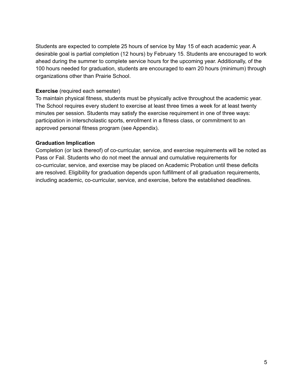Students are expected to complete 25 hours of service by May 15 of each academic year. A desirable goal is partial completion (12 hours) by February 15. Students are encouraged to work ahead during the summer to complete service hours for the upcoming year. Additionally, of the 100 hours needed for graduation, students are encouraged to earn 20 hours (minimum) through organizations other than Prairie School.

#### **Exercise** (required each semester)

To maintain physical fitness, students must be physically active throughout the academic year. The School requires every student to exercise at least three times a week for at least twenty minutes per session. Students may satisfy the exercise requirement in one of three ways: participation in interscholastic sports, enrollment in a fitness class, or commitment to an approved personal fitness program (see Appendix).

#### **Graduation Implication**

<span id="page-4-0"></span>Completion (or lack thereof) of co-curricular, service, and exercise requirements will be noted as Pass or Fail. Students who do not meet the annual and cumulative requirements for co-curricular, service, and exercise may be placed on Academic Probation until these deficits are resolved. Eligibility for graduation depends upon fulfillment of all graduation requirements, including academic, co-curricular, service, and exercise, before the established deadlines.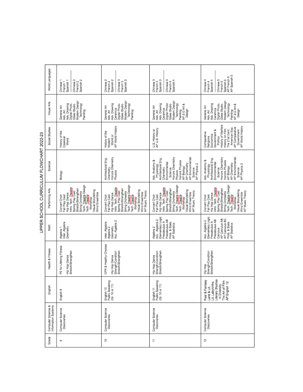|  | World Languages                                               | Chinese 2<br>French 2<br>Spanish 2<br>Chinese <sub>1</sub><br>Spanish 1<br>French 1                                                                                                                                                               | Chinese <sub>3</sub><br>Chinese 2<br>Spanish 3<br>Spanish <sub>2</sub><br>French 3<br>French <sub>2</sub>                                                                                                                                                            | Chinese 3<br>French 3<br>Spanish 3<br>Chinese 4<br>Spanish 4<br>French 4                                                                                                                                                                                             | Spanish 5<br>AP French 5<br>AP Spanish 5<br>Chinese 5<br>Chinese 4<br>Spanish 4<br>French 5<br>French 4                                                                                                                                                              |
|--|---------------------------------------------------------------|---------------------------------------------------------------------------------------------------------------------------------------------------------------------------------------------------------------------------------------------------|----------------------------------------------------------------------------------------------------------------------------------------------------------------------------------------------------------------------------------------------------------------------|----------------------------------------------------------------------------------------------------------------------------------------------------------------------------------------------------------------------------------------------------------------------|----------------------------------------------------------------------------------------------------------------------------------------------------------------------------------------------------------------------------------------------------------------------|
|  | Visual Arts                                                   | Modern Design<br>Adv. Drawing<br>Technology<br>Digital Photo.<br>Glass Studio<br>General Art<br>Adv. Art<br>Painting                                                                                                                              | Modern Design<br>Technology<br>Digital Photo.<br>Adv. Drawing<br>Glass Studio<br>General Art<br>Ceramics<br>Adv. Art<br>Painting                                                                                                                                     | Modern Design<br>Digital Photo<br>Technology<br>Adv. Art<br>Adv. Drawing<br>Glass Studio<br>Painting<br>AP 2-D Art &<br>General Art<br>Ceramics<br>Design                                                                                                            | Modern Design<br>Digital Photo.<br>Technology<br>Adv. Art<br>Adv. Drawing<br>Glass Studio<br>AP 2-D Art &<br>General Art<br>Ceramics<br>Design<br>Painting                                                                                                           |
|  | Social Studies                                                | History of the<br>Classical<br>World                                                                                                                                                                                                              | AP World History<br>History of the<br>World or<br>Modern                                                                                                                                                                                                             | U.S. History or<br>AP U.S. History                                                                                                                                                                                                                                   | Politics<br>History of Warfare<br>Government<br>AP World History<br>AP Comparative<br>American Exp.<br>History on Film<br>Government &<br>The 21st Cent.<br>Comparative<br>Economics<br>Religions                                                                    |
|  | Science                                                       | Blology                                                                                                                                                                                                                                           | Honors Chemistry<br>Architectural Eng.<br>Chemistry<br>Physics                                                                                                                                                                                                       | Honors Chemistry<br>AP Environmental<br>Architectural Eng.<br>Adv. Anatomy &<br>Honors Physics<br>Environmental<br>AP Chemistry<br>AP Physics 2<br>KBojorsKu <sub>k</sub><br>AP Biology<br>Chemistry<br>Science<br>Science<br>Physics                                | AP Environmental<br>Physiology<br>Architectural Eng.<br>Honors Chemistry<br>Honors Physics<br>Adv. Anatomy &<br>Environmental<br>AP Blology<br>AP Chemistry<br>AP Physics 2<br>Science<br>Science                                                                    |
|  | Performing Arts                                               | Tech. <b>Theatre</b> Design<br>Tech. <b>Theatre</b><br>Intro. Tech. Theatre<br>Stretch/Strengthen<br>Visual Storytelling<br>String Orchestra<br>Spring Play Cast<br>Wind Ensemble<br>Hip Hop Dance<br>Fall Play Cast<br>Concert Choir<br>Workshop | Tech. <u>Theatre</u> Design<br>Tech. <u>Theatre</u><br>Intro. Tech. Theatre<br>Spring Play Cast<br>Stretch/Strengthen<br>Visual Storytelling<br>Wind Ensemble<br>AP Music Theory<br>String Orchestra<br>Fall Play Cast<br>Hip Hop Dance<br>Concert Choir<br>Workshop | Tech. <b>Theatre</b> Design<br>Tech. <b>Theatre</b><br>Intro. Tech. Theatre<br>Stretch/Strengthen<br>Visual Storytelling<br>Wind Ensemble<br>AP Music Theory<br>Spring Play Cast<br>String Orchestra<br>Fall Play Cast<br>Hip Hop Dance<br>Concert Choir<br>Workshop | String Orchestra<br>Tech. <u>Theatre</u> Design<br>Tech. <b>Theatre</b><br>Intro. Tech. Theatre<br>Stretch/Strengthen<br>Visual Storytelling<br>AP Music Theory<br>Spring Play Cast<br>Wind Ensemble<br>Fall Play Cast<br>Hip Hop Dance<br>Concert Choir<br>Workshop |
|  | Math                                                          | Inter. Algebra<br>Geometry<br>Algebra 1                                                                                                                                                                                                           | Acc. Algebra 2<br>Inter. Algebra<br>Algebra 2<br>Geometry                                                                                                                                                                                                            | Elementary Logic<br>Acc. Algebra 2<br>Precalculus AB<br>Precalculus A<br>Prob. & Stats.<br>AP Statistics<br>Algebra 2                                                                                                                                                | Elementary Logic<br>AP Calculus AB<br>AP Calculus BC<br>Precalculus AB<br>Acc. Algebra 2<br>Precalculus A<br>Prob. & Stats.<br>AP Statistics<br>Calculus                                                                                                             |
|  | Health & Fitness                                              | PE for Lifelong Fitness<br>Hip Hop Dance<br>Stretch/Strengthen                                                                                                                                                                                    | CPR & Healthy Choices<br>Strength/Condition<br>Stretch/Strengthen<br>Hip Hop Dance                                                                                                                                                                                   | Strength/Condition<br>Stretch/Strengthen<br>Hip Hop Dance                                                                                                                                                                                                            | Strength/Condition<br>Stretch/Strengthen<br>유<br>사우                                                                                                                                                                                                                  |
|  | English                                                       | English 9                                                                                                                                                                                                                                         | English 10<br>Public Speaking<br>(Gr. 10 or 11)                                                                                                                                                                                                                      | English 11<br>Public Speaking<br>(Gr. 10 or 11)                                                                                                                                                                                                                      | Literary Studies<br>Fear & Fantasy<br>The Art of Film<br>Lit. Labyrinths<br>언<br>in Diversity<br>AP English<br>Land & Lit.                                                                                                                                           |
|  | Computer Science &<br>Information Systems<br>Computer Science | Computer Science<br>Discoveries                                                                                                                                                                                                                   | Computer Science<br>Discoveries                                                                                                                                                                                                                                      | Computer Science<br>Discoveries                                                                                                                                                                                                                                      | Computer Science<br>Discoveries                                                                                                                                                                                                                                      |
|  | Grade                                                         | œ                                                                                                                                                                                                                                                 | ë                                                                                                                                                                                                                                                                    | Ξ                                                                                                                                                                                                                                                                    | 12                                                                                                                                                                                                                                                                   |

| ì<br>Į<br>I<br>$\overline{\phantom{a}}$<br>I<br>Í |
|---------------------------------------------------|
| ï                                                 |
| É<br>ı<br>i                                       |
|                                                   |
|                                                   |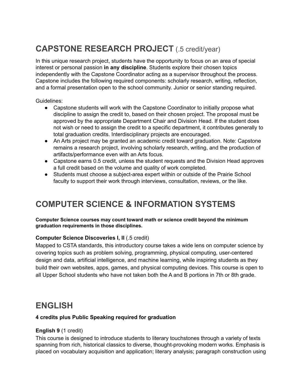## **CAPSTONE RESEARCH PROJECT** (.5 credit/year)

In this unique research project, students have the opportunity to focus on an area of special interest or personal passion **in any discipline**. Students explore their chosen topics independently with the Capstone Coordinator acting as a supervisor throughout the process. Capstone includes the following required components: scholarly research, writing, reflection, and a formal presentation open to the school community. Junior or senior standing required.

Guidelines:

- Capstone students will work with the Capstone Coordinator to initially propose what discipline to assign the credit to, based on their chosen project. The proposal must be approved by the appropriate Department Chair and Division Head. If the student does not wish or need to assign the credit to a specific department, it contributes generally to total graduation credits. Interdisciplinary projects are encouraged.
- An Arts project may be granted an academic credit toward graduation. Note: Capstone remains a research project, involving scholarly research, writing, and the production of artifacts/performance even with an Arts focus.
- Capstone earns 0.5 credit, unless the student requests and the Division Head approves a full credit based on the volume and quality of work completed.
- Students must choose a subject-area expert within or outside of the Prairie School faculty to support their work through interviews, consultation, reviews, or the like.

## **COMPUTER SCIENCE & INFORMATION SYSTEMS**

**Computer Science courses may count toward math or science credit beyond the minimum graduation requirements in those disciplines.**

#### **Computer Science Discoveries I, II** (.5 credit)

Mapped to CSTA standards, this introductory course takes a wide lens on computer science by covering topics such as problem solving, programming, physical computing, user-centered design and data, artificial intelligence, and machine learning, while inspiring students as they build their own websites, apps, games, and physical computing devices. This course is open to all Upper School students who have not taken both the A and B portions in 7th or 8th grade.

## **ENGLISH**

#### **4 credits plus Public Speaking required for graduation**

#### **English 9** (1 credit)

This course is designed to introduce students to literary touchstones through a variety of texts spanning from rich, historical classics to diverse, thought-provoking modern works. Emphasis is placed on vocabulary acquisition and application; literary analysis; paragraph construction using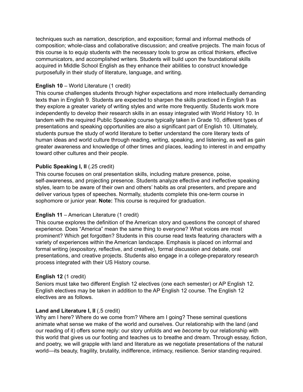techniques such as narration, description, and exposition; formal and informal methods of composition; whole-class and collaborative discussion; and creative projects. The main focus of this course is to equip students with the necessary tools to grow as critical thinkers, effective communicators, and accomplished writers. Students will build upon the foundational skills acquired in Middle School English as they enhance their abilities to construct knowledge purposefully in their study of literature, language, and writing.

#### **English 10** – World Literature (1 credit)

This course challenges students through higher expectations and more intellectually demanding texts than in English 9. Students are expected to sharpen the skills practiced in English 9 as they explore a greater variety of writing styles and write more frequently. Students work more independently to develop their research skills in an essay integrated with World History 10. In tandem with the required Public Speaking course typically taken in Grade 10, different types of presentations and speaking opportunities are also a significant part of English 10. Ultimately, students pursue the study of world literature to better understand the core literary texts of human ideas and world culture through reading, writing, speaking, and listening, as well as gain greater awareness and knowledge of other times and places, leading to interest in and empathy toward other cultures and their people.

#### **Public Speaking I, II** (.25 credit)

This course focuses on oral presentation skills, including mature presence, poise, self-awareness, and projecting presence. Students analyze effective and ineffective speaking styles, learn to be aware of their own and others' habits as oral presenters, and prepare and deliver various types of speeches. Normally, students complete this one-term course in sophomore or junior year. **Note:** This course is required for graduation.

#### **English 11** – American Literature (1 credit)

This course explores the definition of the American story and questions the concept of shared experience. Does "America" mean the same thing to everyone? What voices are most prominent? Which get forgotten? Students in this course read texts featuring characters with a variety of experiences within the American landscape. Emphasis is placed on informal and formal writing (expository, reflective, and creative), formal discussion and debate, oral presentations, and creative projects. Students also engage in a college-preparatory research process integrated with their US History course.

#### **English 12** (1 credit)

Seniors must take two different English 12 electives (one each semester) or AP English 12. English electives may be taken in addition to the AP English 12 course. The English 12 electives are as follows.

#### **Land and Literature I, II** (.5 credit)

Why am I here? Where do we come from? Where am I going? These seminal questions animate what sense we make of the world and ourselves. Our relationship with the land (and our reading of it) offers some reply: our story unfolds and we *become* by our relationship with this world that gives us our footing and teaches us to breathe and dream. Through essay, fiction, and poetry, we will grapple with land and literature as we negotiate presentations of the natural world—its beauty, fragility, brutality, indifference, intimacy, resilience. Senior standing required.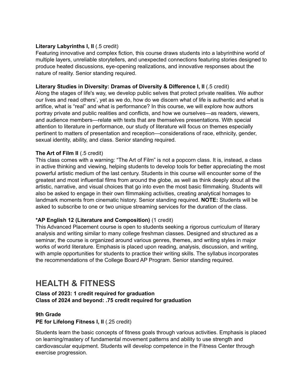#### **Literary Labyrinths I, II** (.5 credit)

Featuring innovative and complex fiction, this course draws students into a labyrinthine world of multiple layers, unreliable storytellers, and unexpected connections featuring stories designed to produce heated discussions, eye-opening realizations, and innovative responses about the nature of reality. Senior standing required.

#### **Literary Studies in Diversity: Dramas of Diversity & Difference I, II** (.5 credit)

Along the stages of life's way, we develop public selves that protect private realities. We author our lives and read others', yet as we do, how do we discern what of life is authentic and what is artifice, what is "real" and what is performance? In this course, we will explore how authors portray private and public realities and conflicts, and how we ourselves—as readers, viewers, and audience members—relate with texts that are themselves presentations. With special attention to literature in performance, our study of literature will focus on themes especially pertinent to matters of presentation and reception—considerations of race, ethnicity, gender, sexual identity, ability, and class. Senior standing required.

#### **The Art of Film II** (.5 credit)

This class comes with a warning: "The Art of Film" is not a popcorn class. It is, instead, a class in active thinking and viewing, helping students to develop tools for better appreciating the most powerful artistic medium of the last century. Students in this course will encounter some of the greatest and most influential films from around the globe, as well as think deeply about all the artistic, narrative, and visual choices that go into even the most basic filmmaking. Students will also be asked to engage in their own filmmaking activities, creating analytical homages to landmark moments from cinematic history. Senior standing required. **NOTE:** Students will be asked to subscribe to one or two unique streaming services for the duration of the class.

#### **\*AP English 12 (Literature and Composition)** (1 credit)

This Advanced Placement course is open to students seeking a rigorous curriculum of literary analysis and writing similar to many college freshman classes. Designed and structured as a seminar, the course is organized around various genres, themes, and writing styles in major works of world literature. Emphasis is placed upon reading, analysis, discussion, and writing, with ample opportunities for students to practice their writing skills. The syllabus incorporates the recommendations of the College Board AP Program. Senior standing required.

## **HEALTH & FITNESS**

**Class of 2023: 1 credit required for graduation Class of 2024 and beyond: .75 credit required for graduation**

#### **9th Grade**

#### **PE for Lifelong Fitness I, II** (.25 credit)

Students learn the basic concepts of fitness goals through various activities. Emphasis is placed on learning/mastery of fundamental movement patterns and ability to use strength and cardiovascular equipment. Students will develop competence in the Fitness Center through exercise progression.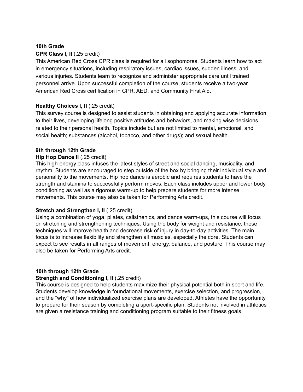#### **10th Grade**

#### **CPR Class I, II** (.25 credit)

This American Red Cross CPR class is required for all sophomores. Students learn how to act in emergency situations, including respiratory issues, cardiac issues, sudden illness, and various injuries. Students learn to recognize and administer appropriate care until trained personnel arrive. Upon successful completion of the course, students receive a two-year American Red Cross certification in CPR, AED, and Community First Aid.

#### **Healthy Choices I, II** (.25 credit)

This survey course is designed to assist students in obtaining and applying accurate information to their lives, developing lifelong positive attitudes and behaviors, and making wise decisions related to their personal health. Topics include but are not limited to mental, emotional, and social health; substances (alcohol, tobacco, and other drugs); and sexual health.

#### **9th through 12th Grade**

#### **Hip Hop Dance II** (.25 credit)

This high-energy class infuses the latest styles of street and social dancing, musicality, and rhythm. Students are encouraged to step outside of the box by bringing their individual style and personality to the movements. Hip hop dance is aerobic and requires students to have the strength and stamina to successfully perform moves. Each class includes upper and lower body conditioning as well as a rigorous warm-up to help prepare students for more intense movements. This course may also be taken for Performing Arts credit.

#### **Stretch and Strengthen I, II** (.25 credit)

Using a combination of yoga, pilates, calisthenics, and dance warm-ups, this course will focus on stretching and strengthening techniques. Using the body for weight and resistance, these techniques will improve health and decrease risk of injury in day-to-day activities. The main focus is to increase flexibility and strengthen all muscles, especially the core. Students can expect to see results in all ranges of movement, energy, balance, and posture. This course may also be taken for Performing Arts credit.

#### **10th through 12th Grade**

#### **Strength and Conditioning I, II** (.25 credit)

This course is designed to help students maximize their physical potential both in sport and life. Students develop knowledge in foundational movements, exercise selection, and progression, and the "why" of how individualized exercise plans are developed. Athletes have the opportunity to prepare for their season by completing a sport-specific plan. Students not involved in athletics are given a resistance training and conditioning program suitable to their fitness goals.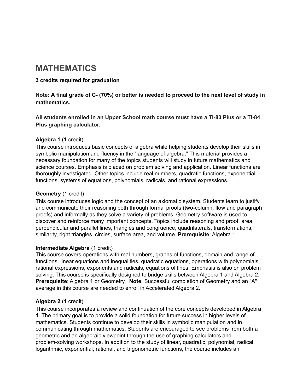## **MATHEMATICS**

#### **3 credits required for graduation**

Note: A final grade of C- (70%) or better is needed to proceed to the next level of study in **mathematics.**

**All students enrolled in an Upper School math course must have a TI-83 Plus or a TI-84 Plus graphing calculator.**

#### **Algebra 1** (1 credit)

This course introduces basic concepts of algebra while helping students develop their skills in symbolic manipulation and fluency in the "language of algebra." This material provides a necessary foundation for many of the topics students will study in future mathematics and science courses. Emphasis is placed on problem solving and application. Linear functions are thoroughly investigated. Other topics include real numbers, quadratic functions, exponential functions, systems of equations, polynomials, radicals, and rational expressions.

#### **Geometry** (1 credit)

This course introduces logic and the concept of an axiomatic system. Students learn to justify and communicate their reasoning both through formal proofs (two-column, flow and paragraph proofs) and informally as they solve a variety of problems. Geometry software is used to discover and reinforce many important concepts. Topics include reasoning and proof, area, perpendicular and parallel lines, triangles and congruence, quadrilaterals, transformations, similarity, right triangles, circles, surface area, and volume. **Prerequisite**: Algebra 1.

#### **Intermediate Algebra** (1 credit)

This course covers operations with real numbers, graphs of functions, domain and range of functions, linear equations and inequalities, quadratic equations, operations with polynomials, rational expressions, exponents and radicals, equations of lines. Emphasis is also on problem solving. This course is specifically designed to bridge skills between Algebra 1 and Algebra 2. **Prerequisite**: Algebra 1 or Geometry. **Note**: Successful completion of Geometry and an "A" average in this course are needed to enroll in Accelerated Algebra 2.

#### **Algebra 2** (1 credit)

This course incorporates a review and continuation of the core concepts developed in Algebra 1. The primary goal is to provide a solid foundation for future success in higher levels of mathematics. Students continue to develop their skills in symbolic manipulation and in communicating through mathematics. Students are encouraged to see problems from both a geometric and an algebraic viewpoint through the use of graphing calculators and problem-solving workshops. In addition to the study of linear, quadratic, polynomial, radical, logarithmic, exponential, rational, and trigonometric functions, the course includes an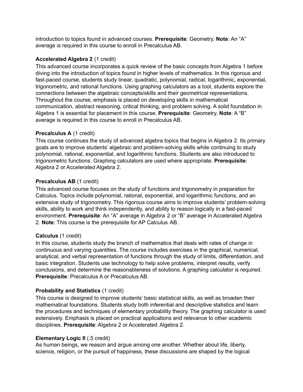introduction to topics found in advanced courses. **Prerequisite**: Geometry. **Note**: An "A" average is required in this course to enroll in Precalculus AB.

#### **Accelerated Algebra 2** (1 credit)

This advanced course incorporates a quick review of the basic concepts from Algebra 1 before diving into the introduction of topics found in higher levels of mathematics. In this rigorous and fast-paced course, students study linear, quadratic, polynomial, radical, logarithmic, exponential, trigonometric, and rational functions. Using graphing calculators as a tool, students explore the connections between the algebraic concepts/skills and their geometrical representations. Throughout the course, emphasis is placed on developing skills in mathematical communication, abstract reasoning, critical thinking, and problem solving. A solid foundation in Algebra 1 is essential for placement in this course. **Prerequisite**: Geometry. **Note**: A "B" average is required in this course to enroll in Precalculus AB.

#### **Precalculus A** (1 credit)

This course continues the study of advanced algebra topics that begins in Algebra 2. Its primary goals are to improve students' algebraic and problem-solving skills while continuing to study polynomial, rational, exponential, and logarithmic functions. Students are also introduced to trigonometric functions. Graphing calculators are used where appropriate. **Prerequisite**: Algebra 2 or Accelerated Algebra 2.

#### **Precalculus AB** (1 credit)

This advanced course focuses on the study of functions and trigonometry in preparation for Calculus. Topics include polynomial, rational, exponential, and logarithmic functions, and an extensive study of trigonometry. This rigorous course aims to improve students' problem-solving skills, ability to work and think independently, and ability to reason logically in a fast-paced environment. **Prerequisite**: An "A" average in Algebra 2 or "B" average in Accelerated Algebra 2. **Note**: This course is the prerequisite for AP Calculus AB.

#### **Calculus** (1 credit)

In this course, students study the branch of mathematics that deals with rates of change in continuous and varying quantities. The course includes exercises in the graphical, numerical, analytical, and verbal representation of functions through the study of limits, differentiation, and basic integration. Students use technology to help solve problems, interpret results, verify conclusions, and determine the reasonableness of solutions. A graphing calculator is required. **Prerequisite**: Precalculus A or Precalculus AB.

#### **Probability and Statistics** (1 credit)

This course is designed to improve students' basic statistical skills, as well as broaden their mathematical foundations. Students study both inferential and descriptive statistics and learn the procedures and techniques of elementary probability theory. The graphing calculator is used extensively. Emphasis is placed on practical applications and relevance to other academic disciplines. **Prerequisite**: Algebra 2 or Accelerated Algebra 2.

#### **Elementary Logic II** (.5 credit)

As human beings, we reason and argue among one another. Whether about life, liberty, science, religion, or the pursuit of happiness, these discussions are shaped by the logical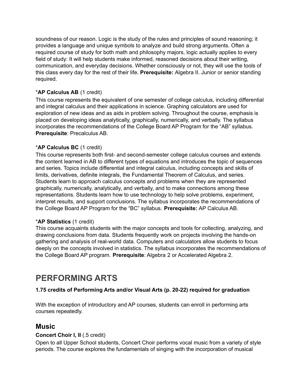soundness of our reason. Logic is the study of the rules and principles of sound reasoning; it provides a language and unique symbols to analyze and build strong arguments. Often a required course of study for both math and philosophy majors, logic actually applies to every field of study: It will help students make informed, reasoned decisions about their writing, communication, and everyday decisions. Whether consciously or not, they will use the tools of this class every day for the rest of their life. **Prerequisite:** Algebra II. Junior or senior standing required.

#### \***AP Calculus AB** (1 credit)

This course represents the equivalent of one semester of college calculus, including differential and integral calculus and their applications in science. Graphing calculators are used for exploration of new ideas and as aids in problem solving. Throughout the course, emphasis is placed on developing ideas analytically, graphically, numerically, and verbally. The syllabus incorporates the recommendations of the College Board AP Program for the "AB" syllabus. **Prerequisite**: Precalculus AB.

#### \***AP Calculus BC** (1 credit)

This course represents both first- and second-semester college calculus courses and extends the content learned in AB to different types of equations and introduces the topic of sequences and series. Topics include differential and integral calculus, including concepts and skills of limits, derivatives, definite integrals, the Fundamental Theorem of Calculus, and series. Students learn to approach calculus concepts and problems when they are represented graphically, numerically, analytically, and verbally, and to make connections among these representations. Students learn how to use technology to help solve problems, experiment, interpret results, and support conclusions. The syllabus incorporates the recommendations of the College Board AP Program for the "BC" syllabus. **Prerequisite:** AP Calculus AB.

#### \***AP Statistics** (1 credit)

This course acquaints students with the major concepts and tools for collecting, analyzing, and drawing conclusions from data. Students frequently work on projects involving the hands-on gathering and analysis of real-world data. Computers and calculators allow students to focus deeply on the concepts involved in statistics. The syllabus incorporates the recommendations of the College Board AP program. **Prerequisite**: Algebra 2 or Accelerated Algebra 2.

## <span id="page-12-0"></span>**PERFORMING ARTS**

#### **1.75 credits of Performing Arts and/or Visual Arts (p. 20-22) required for graduation**

With the exception of introductory and AP courses, students can enroll in performing arts courses repeatedly.

#### **Music**

#### **Concert Choir I, II** (.5 credit)

Open to all Upper School students, Concert Choir performs vocal music from a variety of style periods. The course explores the fundamentals of singing with the incorporation of musical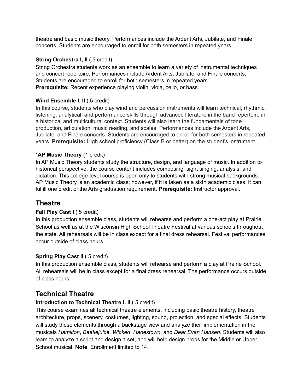theatre and basic music theory. Performances include the Ardent Arts, Jubilate, and Finale concerts. Students are encouraged to enroll for both semesters in repeated years.

#### **String Orchestra I, II** (.5 credit)

String Orchestra students work as an ensemble to learn a variety of instrumental techniques and concert repertoire. Performances include Ardent Arts, Jubilate, and Finale concerts. Students are encouraged to enroll for both semesters in repeated years. **Prerequisite:** Recent experience playing violin, viola, cello, or bass.

#### **Wind Ensemble I, II** (.5 credit)

In this course, students who play wind and percussion instruments will learn technical, rhythmic, listening, analytical, and performance skills through advanced literature in the band repertoire in a historical and multicultural context. Students will also learn the fundamentals of tone production, articulation, music reading, and scales. Performances include the Ardent Arts, Jubilate, and Finale concerts. Students are encouraged to enroll for both semesters in repeated years. **Prerequisite:** High school proficiency (Class B or better) on the student's instrument.

#### \***AP Music Theory** (1 credit)

In AP Music Theory students study the structure, design, and language of music. In addition to historical perspective, the course content includes composing, sight singing, analysis, and dictation. This college-level course is open only to students with strong musical backgrounds. AP Music Theory is an academic class; however, if it is taken as a sixth academic class, it can fulfill one credit of the Arts graduation requirement. **Prerequisite:** Instructor approval.

#### **Theatre**

#### **Fall Play Cast I** (.5 credit)

In this production ensemble class, students will rehearse and perform a one-act play at Prairie School as well as at the Wisconsin High School Theatre Festival at various schools throughout the state. All rehearsals will be in class except for a final dress rehearsal. Festival performances occur outside of class hours.

#### **Spring Play Cast II** (.5 credit)

In this production ensemble class, students will rehearse and perform a play at Prairie School. All rehearsals will be in class except for a final dress rehearsal. The performance occurs outside of class hours.

#### **Technical Theatre**

#### **Introduction to Technical Theatre I, II** (.5 credit)

This course examines all technical theatre elements, including basic theatre history, theatre architecture, props, scenery, costumes, lighting, sound, projection, and special effects. Students will study these elements through a backstage view and analyze their implementation in the musicals *Hamilton*, *Beetlejuice*, *Wicked*, *Hadestown*, and *Dear Evan Hansen*. Students will also learn to analyze a script and design a set, and will help design props for the Middle or Upper School musical. **Note**: Enrollment limited to 14.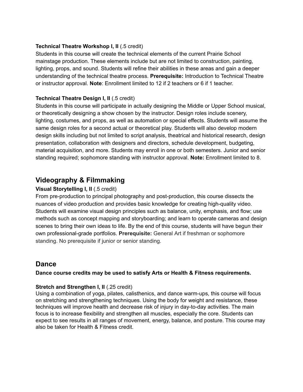#### **Technical Theatre Workshop I, II** (.5 credit)

Students in this course will create the technical elements of the current Prairie School mainstage production. These elements include but are not limited to construction, painting, lighting, props, and sound. Students will refine their abilities in these areas and gain a deeper understanding of the technical theatre process. **Prerequisite:** Introduction to Technical Theatre or instructor approval. **Note**: Enrollment limited to 12 if 2 teachers or 6 if 1 teacher.

#### **Technical Theatre Design I, II** (.5 credit)

Students in this course will participate in actually designing the Middle or Upper School musical, or theoretically designing a show chosen by the instructor. Design roles include scenery, lighting, costumes, and props, as well as automation or special effects. Students will assume the same design roles for a second actual or theoretical play. Students will also develop modern design skills including but not limited to script analysis, theatrical and historical research, design presentation, collaboration with designers and directors, schedule development, budgeting, material acquisition, and more. Students may enroll in one or both semesters. Junior and senior standing required; sophomore standing with instructor approval. **Note:** Enrollment limited to 8.

#### **Videography & Filmmaking**

#### **Visual Storytelling I, II** (.5 credit)

From pre-production to principal photography and post-production, this course dissects the nuances of video production and provides basic knowledge for creating high-quality video. Students will examine visual design principles such as balance, unity, emphasis, and flow; use methods such as concept mapping and storyboarding; and learn to operate cameras and design scenes to bring their own ideas to life. By the end of this course, students will have begun their own professional-grade portfolios. **Prerequisite:** General Art if freshman or sophomore standing. No prerequisite if junior or senior standing.

#### **Dance**

#### **Dance course credits may be used to satisfy Arts or Health & Fitness requirements.**

#### **Stretch and Strengthen I, II** (.25 credit)

Using a combination of yoga, pilates, calisthenics, and dance warm-ups, this course will focus on stretching and strengthening techniques. Using the body for weight and resistance, these techniques will improve health and decrease risk of injury in day-to-day activities. The main focus is to increase flexibility and strengthen all muscles, especially the core. Students can expect to see results in all ranges of movement, energy, balance, and posture. This course may also be taken for Health & Fitness credit.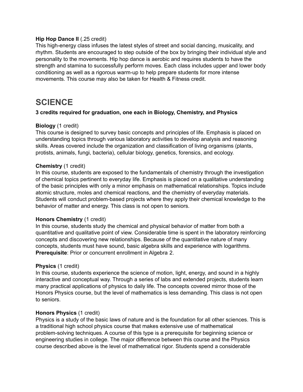#### **Hip Hop Dance II** (.25 credit)

This high-energy class infuses the latest styles of street and social dancing, musicality, and rhythm. Students are encouraged to step outside of the box by bringing their individual style and personality to the movements. Hip hop dance is aerobic and requires students to have the strength and stamina to successfully perform moves. Each class includes upper and lower body conditioning as well as a rigorous warm-up to help prepare students for more intense movements. This course may also be taken for Health & Fitness credit.

### <span id="page-15-0"></span>**SCIENCE**

#### **3 credits required for graduation, one each in Biology, Chemistry, and Physics**

#### **Biology** (1 credit)

This course is designed to survey basic concepts and principles of life. Emphasis is placed on understanding topics through various laboratory activities to develop analysis and reasoning skills. Areas covered include the organization and classification of living organisms (plants, protists, animals, fungi, bacteria), cellular biology, genetics, forensics, and ecology.

#### **Chemistry** (1 credit)

In this course, students are exposed to the fundamentals of chemistry through the investigation of chemical topics pertinent to everyday life. Emphasis is placed on a qualitative understanding of the basic principles with only a minor emphasis on mathematical relationships. Topics include atomic structure, moles and chemical reactions, and the chemistry of everyday materials. Students will conduct problem-based projects where they apply their chemical knowledge to the behavior of matter and energy. This class is not open to seniors.

#### **Honors Chemistry** (1 credit)

In this course, students study the chemical and physical behavior of matter from both a quantitative and qualitative point of view. Considerable time is spent in the laboratory reinforcing concepts and discovering new relationships. Because of the quantitative nature of many concepts, students must have sound, basic algebra skills and experience with logarithms. **Prerequisite**: Prior or concurrent enrollment in Algebra 2.

#### **Physics** (1 credit)

In this course, students experience the science of motion, light, energy, and sound in a highly interactive and conceptual way. Through a series of labs and extended projects, students learn many practical applications of physics to daily life. The concepts covered mirror those of the Honors Physics course, but the level of mathematics is less demanding. This class is not open to seniors.

#### **Honors Physics** (1 credit)

Physics is a study of the basic laws of nature and is the foundation for all other sciences. This is a traditional high school physics course that makes extensive use of mathematical problem-solving techniques. A course of this type is a prerequisite for beginning science or engineering studies in college. The major difference between this course and the Physics course described above is the level of mathematical rigor. Students spend a considerable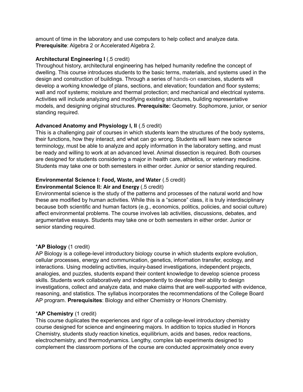amount of time in the laboratory and use computers to help collect and analyze data. **Prerequisite**: Algebra 2 or Accelerated Algebra 2.

#### **Architectural Engineering I** (.5 credit)

Throughout history, architectural engineering has helped humanity redefine the concept of dwelling. This course introduces students to the basic terms, materials, and systems used in the design and construction of buildings. Through a series of hands-on exercises, students will develop a working knowledge of plans, sections, and elevation; foundation and floor systems; wall and roof systems; moisture and thermal protection; and mechanical and electrical systems. Activities will include analyzing and modifying existing structures, building representative models, and designing original structures. **Prerequisite:** Geometry. Sophomore, junior, or senior standing required.

#### **Advanced Anatomy and Physiology I, II** (.5 credit)

This is a challenging pair of courses in which students learn the structures of the body systems, their functions, how they interact, and what can go wrong. Students will learn new science terminology, must be able to analyze and apply information in the laboratory setting, and must be ready and willing to work at an advanced level. Animal dissection is required. Both courses are designed for students considering a major in health care, athletics, or veterinary medicine. Students may take one or both semesters in either order. Junior or senior standing required.

#### **Environmental Science I: Food, Waste, and Water** (.5 credit)

#### **Environmental Science II: Air and Energy** (.5 credit)

Environmental science is the study of the patterns and processes of the natural world and how these are modified by human activities. While this is a "science" class, it is truly interdisciplinary because both scientific and human factors (e.g., economics, politics, policies, and social culture) affect environmental problems. The course involves lab activities, discussions, debates, and argumentative essays. Students may take one or both semesters in either order. Junior or senior standing required.

#### \***AP Biology** (1 credit)

AP Biology is a college-level introductory biology course in which students explore evolution, cellular processes, energy and communication, genetics, information transfer, ecology, and interactions. Using modeling activities, inquiry-based investigations, independent projects, analogies, and puzzles, students expand their content knowledge to develop science process skills. Students work collaboratively and independently to develop their ability to design investigations, collect and analyze data, and make claims that are well-supported with evidence, reasoning, and statistics. The syllabus incorporates the recommendations of the College Board AP program. **Prerequisites**: Biology and either Chemistry or Honors Chemistry.

#### \***AP Chemistry** (1 credit)

This course duplicates the experiences and rigor of a college-level introductory chemistry course designed for science and engineering majors. In addition to topics studied in Honors Chemistry, students study reaction kinetics, equilibrium, acids and bases, redox reactions, electrochemistry, and thermodynamics. Lengthy, complex lab experiments designed to complement the classroom portions of the course are conducted approximately once every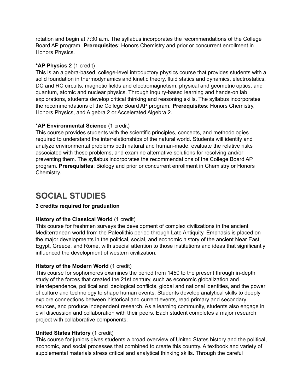rotation and begin at 7:30 a.m. The syllabus incorporates the recommendations of the College Board AP program. **Prerequisites**: Honors Chemistry and prior or concurrent enrollment in Honors Physics.

#### **\*AP Physics 2** (1 credit)

This is an algebra-based, college-level introductory physics course that provides students with a solid foundation in thermodynamics and kinetic theory, fluid statics and dynamics, electrostatics, DC and RC circuits, magnetic fields and electromagnetism, physical and geometric optics, and quantum, atomic and nuclear physics. Through inquiry-based learning and hands-on lab explorations, students develop critical thinking and reasoning skills. The syllabus incorporates the recommendations of the College Board AP program. **Prerequisites**: Honors Chemistry, Honors Physics, and Algebra 2 or Accelerated Algebra 2.

#### \***AP Environmental Science** (1 credit)

This course provides students with the scientific principles, concepts, and methodologies required to understand the interrelationships of the natural world. Students will identify and analyze environmental problems both natural and human-made, evaluate the relative risks associated with these problems, and examine alternative solutions for resolving and/or preventing them. The syllabus incorporates the recommendations of the College Board AP program. **Prerequisites**: Biology and prior or concurrent enrollment in Chemistry or Honors Chemistry.

## **SOCIAL STUDIES**

#### **3 credits required for graduation**

#### **History of the Classical World** (1 credit)

This course for freshmen surveys the development of complex civilizations in the ancient Mediterranean world from the Paleolithic period through Late Antiquity. Emphasis is placed on the major developments in the political, social, and economic history of the ancient Near East, Egypt, Greece, and Rome, with special attention to those institutions and ideas that significantly influenced the development of western civilization.

#### **History of the Modern World** (1 credit)

This course for sophomores examines the period from 1450 to the present through in-depth study of the forces that created the 21st century, such as economic globalization and interdependence, political and ideological conflicts, global and national identities, and the power of culture and technology to shape human events. Students develop analytical skills to deeply explore connections between historical and current events, read primary and secondary sources, and produce independent research. As a learning community, students also engage in civil discussion and collaboration with their peers. Each student completes a major research project with collaborative components.

#### **United States History** (1 credit)

This course for juniors gives students a broad overview of United States history and the political, economic, and social processes that combined to create this country. A textbook and variety of supplemental materials stress critical and analytical thinking skills. Through the careful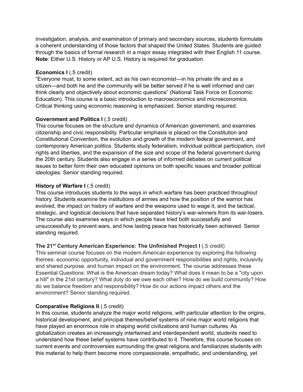investigation, analysis, and examination of primary and secondary sources, students formulate a coherent understanding of those factors that shaped the United States. Students are guided through the basics of formal research in a major essay integrated with their English 11 course. **Note**: Either U.S. History or AP U.S. History is required for graduation.

#### **Economics I** (.5 credit)

"Everyone must, to some extent, act as his own economist—in his private life and as a citizen—and both he and the community will be better served if he is well informed and can think clearly and objectively about economic questions" (National Task Force on Economic Education). This course is a basic introduction to macroeconomics and microeconomics. Critical thinking using economic reasoning is emphasized. Senior standing required.

#### **Government and Politics I** (.5 credit)

This course focuses on the structure and dynamics of American government, and examines citizenship and civic responsibility. Particular emphasis is placed on the Constitution and Constitutional Convention, the evolution and growth of the modern federal government, and contemporary American politics. Students study federalism, individual political participation, civil rights and liberties, and the expansion of the size and scope of the federal government during the 20th century. Students also engage in a series of informed debates on current political issues to better form their own educated opinions on both specific issues and broader political ideologies. Senior standing required.

#### **History of Warfare I** (.5 credit)

This course introduces students to the ways in which warfare has been practiced throughout history. Students examine the institutions of armies and how the position of the warrior has evolved, the impact on history of warfare and the weapons used to wage it, and the tactical, strategic, and logistical decisions that have separated history's war-winners from its war-losers. The course also examines ways in which people have tried both successfully and unsuccessfully to prevent wars, and how lasting peace has historically been achieved. Senior standing required.

#### **The 21 st Century American Experience: The Unfinished Project I** (.5 credit)

This seminar course focuses on the modern American experience by exploring the following themes: economic opportunity, individual and government responsibilities and rights, inclusivity and shared purpose, and human impact on the environment. The course addresses these Essential Questions: What is the American dream today? What does it mean to be a "city upon a hill" in the 21st century? What duty do we owe each other? How do we build community? How do we balance freedom and responsibility? How do our actions impact others and the environment? Senior standing required.

#### **Comparative Religions II** (.5 credit)

In this course, students analyze the major world religions, with particular attention to the origins, historical development, and principal themes/belief systems of nine major world religions that have played an enormous role in shaping world civilizations and human cultures. As globalization creates an increasingly intertwined and interdependent world, students need to understand how these belief systems have contributed to it. Therefore, this course focuses on current events and controversies surrounding the great religions and familiarizes students with this material to help them become more compassionate, empathetic, and understanding, yet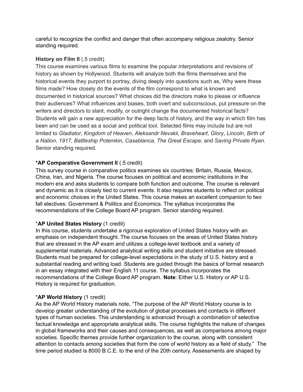careful to recognize the conflict and danger that often accompany religious zealotry. Senior standing required.

#### **History on Film II** (.5 credit)

This course examines various films to examine the popular interpretations and revisions of history as shown by Hollywood. Students will analyze both the films themselves and the historical events they purport to portray, diving deeply into questions such as, Why were these films made? How closely do the events of the film correspond to what is known and documented in historical sources? What choices did the directors make to please or influence their audiences? What influences and biases, both overt and subconscious, put pressure on the writers and directors to slant, modify, or outright change the documented historical facts? Students will gain a new appreciation for the deep facts of history, and the way in which film has been and can be used as a social and political tool. Selected films may include but are not limited to *Gladiator*, *Kingdom of Heaven*, *Aleksandr Nevskii*, *Braveheart*, *Glory*, *Lincoln*, *Birth of a Nation*, *1917*, *Battleship Potemkin*, *Casablanca*, *The Great Escape*, and *Saving Private Ryan*. Senior standing required.

#### **\*AP Comparative Government II** (.5 credit)

This survey course in comparative politics examines six countries: Britain, Russia, Mexico, China, Iran, and Nigeria. The course focuses on political and economic institutions in the modern era and asks students to compare both function and outcome. The course is relevant and dynamic as it is closely tied to current events. It also requires students to reflect on political and economic choices in the United States. This course makes an excellent companion to two fall electives: Government & Politics and Economics. The syllabus incorporates the recommendations of the College Board AP program. Senior standing required.

#### \***AP United States History** (1 credit)

In this course, students undertake a rigorous exploration of United States history with an emphasis on independent thought. The course focuses on the areas of United States history that are stressed in the AP exam and utilizes a college-level textbook and a variety of supplemental materials. Advanced analytical writing skills and student initiative are stressed. Students must be prepared for college-level expectations in the study of U.S. history and a substantial reading and writing load. Students are guided through the basics of formal research in an essay integrated with their English 11 course. The syllabus incorporates the recommendations of the College Board AP program. **Note**: Either U.S. History or AP U.S. History is required for graduation.

#### \***AP World History** (1 credit)

As the AP World History materials note, "The purpose of the AP World History course is to develop greater understanding of the evolution of global processes and contacts in different types of human societies. This understanding is advanced through a combination of selective factual knowledge and appropriate analytical skills. The course highlights the nature of changes in global frameworks and their causes and consequences, as well as comparisons among major societies. Specific themes provide further organization to the course, along with consistent attention to contacts among societies that form the core of world history as a field of study." The time period studied is 8000 B.C.E. to the end of the 20th century. Assessments are shaped by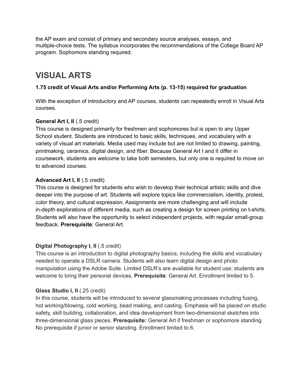the AP exam and consist of primary and secondary source analyses, essays, and multiple-choice tests. The syllabus incorporates the recommendations of the College Board AP program. Sophomore standing required.

## **VISUAL ARTS**

#### **1.75 credit of Visual Arts and/or Performing Arts (p. 13-15) required for graduation**

With the exception of introductory and AP courses, students can repeatedly enroll in Visual Arts courses.

#### **General Art I, II** (.5 credit)

This course is designed primarily for freshmen and sophomores but is open to any Upper School student. Students are introduced to basic skills, techniques, and vocabulary with a variety of visual art materials. Media used may include but are not limited to drawing, painting, printmaking, ceramics, digital design, and fiber. Because General Art I and II differ in coursework, students are welcome to take both semesters, but only one is required to move on to advanced courses.

#### **Advanced Art I, II** (.5 credit)

This course is designed for students who wish to develop their technical artistic skills and dive deeper into the purpose of art. Students will explore topics like commercialism, identity, protest, color theory, and cultural expression. Assignments are more challenging and wilI include in-depth explorations of different media, such as creating a design for screen printing on t-shirts. Students will also have the opportunity to select independent projects, with regular small-group feedback. **Prerequisite**: General Art.

#### **Digital Photography I, II** (.5 credit)

This course is an introduction to digital photography basics, including the skills and vocabulary needed to operate a DSLR camera. Students will also learn digital design and photo manipulation using the Adobe Suite. Limited DSLR's are available for student use; students are welcome to bring their personal devices. **Prerequisite**: General Art. Enrollment limited to 5.

#### **Glass Studio I, II** (.25 credit)

In this course, students will be introduced to several glassmaking processes including fusing, hot working/blowing, cold working, bead making, and casting. Emphasis will be placed on studio safety, skill building, collaboration, and idea development from two-dimensional sketches into three-dimensional glass pieces. **Prerequisite:** General Art if freshman or sophomore standing. No prerequisite if junior or senior standing. Enrollment limited to 6.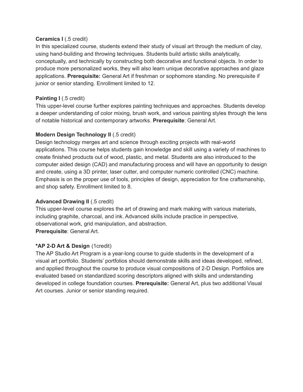#### **Ceramics I** (.5 credit)

In this specialized course, students extend their study of visual art through the medium of clay, using hand-building and throwing techniques. Students build artistic skills analytically, conceptually, and technically by constructing both decorative and functional objects. In order to produce more personalized works, they will also learn unique decorative approaches and glaze applications. **Prerequisite:** General Art if freshman or sophomore standing. No prerequisite if junior or senior standing. Enrollment limited to 12.

#### **Painting I** (.5 credit)

This upper-level course further explores painting techniques and approaches. Students develop a deeper understanding of color mixing, brush work, and various painting styles through the lens of notable historical and contemporary artworks. **Prerequisite**: General Art.

#### **Modern Design Technology II** (.5 credit)

Design technology merges art and science through exciting projects with real-world applications. This course helps students gain knowledge and skill using a variety of machines to create finished products out of wood, plastic, and metal. Students are also introduced to the computer aided design (CAD) and manufacturing process and will have an opportunity to design and create, using a 3D printer, laser cutter, and computer numeric controlled (CNC) machine. Emphasis is on the proper use of tools, principles of design, appreciation for fine craftsmanship, and shop safety. Enrollment limited to 8.

#### **Advanced Drawing II** (.5 credit)

This upper-level course explores the art of drawing and mark making with various materials, including graphite, charcoal, and ink. Advanced skills include practice in perspective, observational work, grid manipulation, and abstraction. **Prerequisite**: General Art.

#### **\*AP 2-D Art & Design** (1credit)

The AP Studio Art Program is a year-long course to guide students in the development of a visual art portfolio. Students' portfolios should demonstrate skills and ideas developed, refined, and applied throughout the course to produce visual compositions of 2-D Design. Portfolios are evaluated based on standardized scoring descriptors aligned with skills and understanding developed in college foundation courses. **Prerequisite:** General Art, plus two additional Visual Art courses. Junior or senior standing required.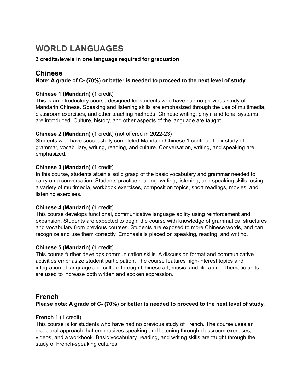## **WORLD LANGUAGES**

#### **3 credits/levels in one language required for graduation**

#### **Chinese**

#### **Note: A grade of C- (70%) or better is needed to proceed to the next level of study.**

#### **Chinese 1 (Mandarin)** (1 credit)

This is an introductory course designed for students who have had no previous study of Mandarin Chinese. Speaking and listening skills are emphasized through the use of multimedia, classroom exercises, and other teaching methods. Chinese writing, pinyin and tonal systems are introduced. Culture, history, and other aspects of the language are taught.

#### **Chinese 2 (Mandarin)** (1 credit) (not offered in 2022-23)

Students who have successfully completed Mandarin Chinese 1 continue their study of grammar, vocabulary, writing, reading, and culture. Conversation, writing, and speaking are emphasized.

#### **Chinese 3 (Mandarin)** (1 credit)

In this course, students attain a solid grasp of the basic vocabulary and grammar needed to carry on a conversation. Students practice reading, writing, listening, and speaking skills, using a variety of multimedia, workbook exercises, composition topics, short readings, movies, and listening exercises.

#### **Chinese 4 (Mandarin)** (1 credit)

This course develops functional, communicative language ability using reinforcement and expansion. Students are expected to begin the course with knowledge of grammatical structures and vocabulary from previous courses. Students are exposed to more Chinese words, and can recognize and use them correctly. Emphasis is placed on speaking, reading, and writing.

#### **Chinese 5 (Mandarin)** (1 credit)

This course further develops communication skills. A discussion format and communicative activities emphasize student participation. The course features high-interest topics and integration of language and culture through Chinese art, music, and literature. Thematic units are used to increase both written and spoken expression.

#### **French**

**Please note: A grade of C- (70%) or better is needed to proceed to the next level of study.**

#### **French 1** (1 credit)

This course is for students who have had no previous study of French. The course uses an oral-aural approach that emphasizes speaking and listening through classroom exercises, videos, and a workbook. Basic vocabulary, reading, and writing skills are taught through the study of French-speaking cultures.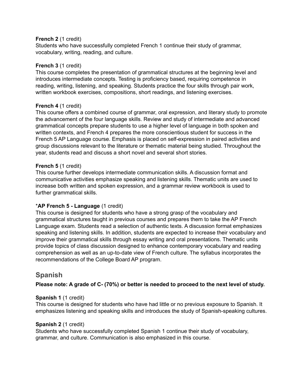#### **French 2** (1 credit)

Students who have successfully completed French 1 continue their study of grammar, vocabulary, writing, reading, and culture.

#### **French 3** (1 credit)

This course completes the presentation of grammatical structures at the beginning level and introduces intermediate concepts. Testing is proficiency based, requiring competence in reading, writing, listening, and speaking. Students practice the four skills through pair work, written workbook exercises, compositions, short readings, and listening exercises.

#### **French 4** (1 credit)

This course offers a combined course of grammar, oral expression, and literary study to promote the advancement of the four language skills. Review and study of intermediate and advanced grammatical concepts prepare students to use a higher level of language in both spoken and written contexts, and French 4 prepares the more conscientious student for success in the French 5 AP Language course. Emphasis is placed on self-expression in paired activities and group discussions relevant to the literature or thematic material being studied. Throughout the year, students read and discuss a short novel and several short stories.

#### **French 5** (1 credit)

This course further develops intermediate communication skills. A discussion format and communicative activities emphasize speaking and listening skills. Thematic units are used to increase both written and spoken expression, and a grammar review workbook is used to further grammatical skills.

#### \***AP French 5 - Language** (1 credit)

This course is designed for students who have a strong grasp of the vocabulary and grammatical structures taught in previous courses and prepares them to take the AP French Language exam. Students read a selection of authentic texts. A discussion format emphasizes speaking and listening skills. In addition, students are expected to increase their vocabulary and improve their grammatical skills through essay writing and oral presentations. Thematic units provide topics of class discussion designed to enhance contemporary vocabulary and reading comprehension as well as an up-to-date view of French culture. The syllabus incorporates the recommendations of the College Board AP program.

#### **Spanish**

#### **Please note: A grade of C- (70%) or better is needed to proceed to the next level of study.**

#### **Spanish 1** (1 credit)

This course is designed for students who have had little or no previous exposure to Spanish. It emphasizes listening and speaking skills and introduces the study of Spanish-speaking cultures.

#### **Spanish 2** (1 credit)

Students who have successfully completed Spanish 1 continue their study of vocabulary, grammar, and culture. Communication is also emphasized in this course.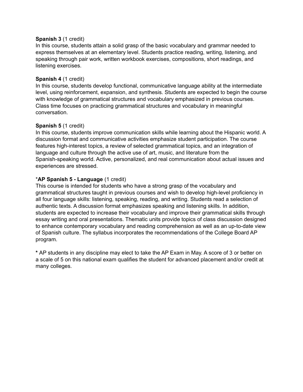#### **Spanish 3** (1 credit)

In this course, students attain a solid grasp of the basic vocabulary and grammar needed to express themselves at an elementary level. Students practice reading, writing, listening, and speaking through pair work, written workbook exercises, compositions, short readings, and listening exercises.

#### **Spanish 4** (1 credit)

In this course, students develop functional, communicative language ability at the intermediate level, using reinforcement, expansion, and synthesis. Students are expected to begin the course with knowledge of grammatical structures and vocabulary emphasized in previous courses. Class time focuses on practicing grammatical structures and vocabulary in meaningful conversation.

#### **Spanish 5** (1 credit)

In this course, students improve communication skills while learning about the Hispanic world. A discussion format and communicative activities emphasize student participation. The course features high-interest topics, a review of selected grammatical topics, and an integration of language and culture through the active use of art, music, and literature from the Spanish-speaking world. Active, personalized, and real communication about actual issues and experiences are stressed.

#### \***AP Spanish 5 - Language** (1 credit)

This course is intended for students who have a strong grasp of the vocabulary and grammatical structures taught in previous courses and wish to develop high-level proficiency in all four language skills: listening, speaking, reading, and writing. Students read a selection of authentic texts. A discussion format emphasizes speaking and listening skills. In addition, students are expected to increase their vocabulary and improve their grammatical skills through essay writing and oral presentations. Thematic units provide topics of class discussion designed to enhance contemporary vocabulary and reading comprehension as well as an up-to-date view of Spanish culture. The syllabus incorporates the recommendations of the College Board AP program.

**\*** AP students in any discipline may elect to take the AP Exam in May. A score of 3 or better on a scale of 5 on this national exam qualifies the student for advanced placement and/or credit at many colleges.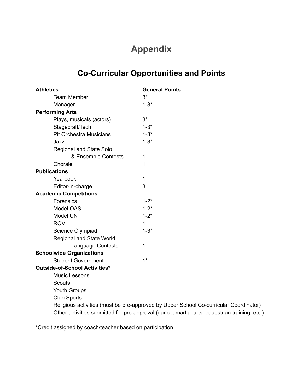## **Appendix**

## **Co-Curricular Opportunities and Points**

| <b>Athletics</b>                | <b>General Points</b>                                                                 |  |  |  |
|---------------------------------|---------------------------------------------------------------------------------------|--|--|--|
| <b>Team Member</b>              | $3^*$                                                                                 |  |  |  |
| Manager                         | $1 - 3*$                                                                              |  |  |  |
| <b>Performing Arts</b>          |                                                                                       |  |  |  |
| Plays, musicals (actors)        | $3^*$                                                                                 |  |  |  |
| Stagecraft/Tech                 | $1 - 3*$                                                                              |  |  |  |
| <b>Pit Orchestra Musicians</b>  | $1 - 3*$                                                                              |  |  |  |
| Jazz                            | $1 - 3*$                                                                              |  |  |  |
| <b>Regional and State Solo</b>  |                                                                                       |  |  |  |
| & Ensemble Contests             | 1                                                                                     |  |  |  |
| Chorale                         | 1                                                                                     |  |  |  |
| <b>Publications</b>             |                                                                                       |  |  |  |
| Yearbook                        | $\mathbf 1$                                                                           |  |  |  |
| Editor-in-charge                | 3                                                                                     |  |  |  |
| <b>Academic Competitions</b>    |                                                                                       |  |  |  |
| Forensics                       | $1 - 2^*$                                                                             |  |  |  |
| Model OAS                       | $1 - 2^*$                                                                             |  |  |  |
| Model UN                        | $1 - 2^*$                                                                             |  |  |  |
| <b>ROV</b>                      | $\mathbf{1}$                                                                          |  |  |  |
| Science Olympiad                | $1 - 3*$                                                                              |  |  |  |
| <b>Regional and State World</b> |                                                                                       |  |  |  |
| Language Contests               | $\mathbf 1$                                                                           |  |  |  |
| <b>Schoolwide Organizations</b> |                                                                                       |  |  |  |
| <b>Student Government</b>       | $1*$                                                                                  |  |  |  |
| Outside-of-School Activities*   |                                                                                       |  |  |  |
| <b>Music Lessons</b>            |                                                                                       |  |  |  |
| <b>Scouts</b>                   |                                                                                       |  |  |  |
| Youth Groups                    |                                                                                       |  |  |  |
| <b>Club Sports</b>              |                                                                                       |  |  |  |
|                                 | Religious activities (must be pre-approved by Upper School Co-curricular Coordinator) |  |  |  |

Other activities submitted for pre-approval (dance, martial arts, equestrian training, etc.)

\*Credit assigned by coach/teacher based on participation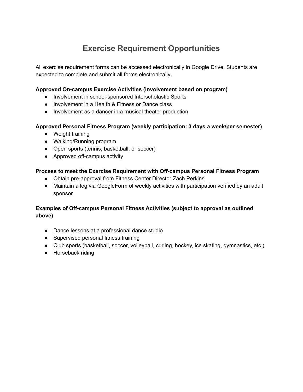## **Exercise Requirement Opportunities**

<span id="page-26-0"></span>All exercise requirement forms can be accessed electronically in Google Drive. Students are expected to complete and submit all forms electronically**.**

#### **Approved On-campus Exercise Activities (involvement based on program)**

- Involvement in school-sponsored Interscholastic Sports
- Involvement in a Health & Fitness or Dance class
- Involvement as a dancer in a musical theater production

#### **Approved Personal Fitness Program (weekly participation: 3 days a week/per semester)**

- Weight training
- Walking/Running program
- Open sports (tennis, basketball, or soccer)
- Approved off-campus activity

#### **Process to meet the Exercise Requirement with Off-campus Personal Fitness Program**

- Obtain pre-approval from Fitness Center Director Zach Perkins
- Maintain a log via GoogleForm of weekly activities with participation verified by an adult sponsor.

#### **Examples of Off-campus Personal Fitness Activities (subject to approval as outlined above)**

- Dance lessons at a professional dance studio
- Supervised personal fitness training
- Club sports (basketball, soccer, volleyball, curling, hockey, ice skating, gymnastics, etc.)
- Horseback riding